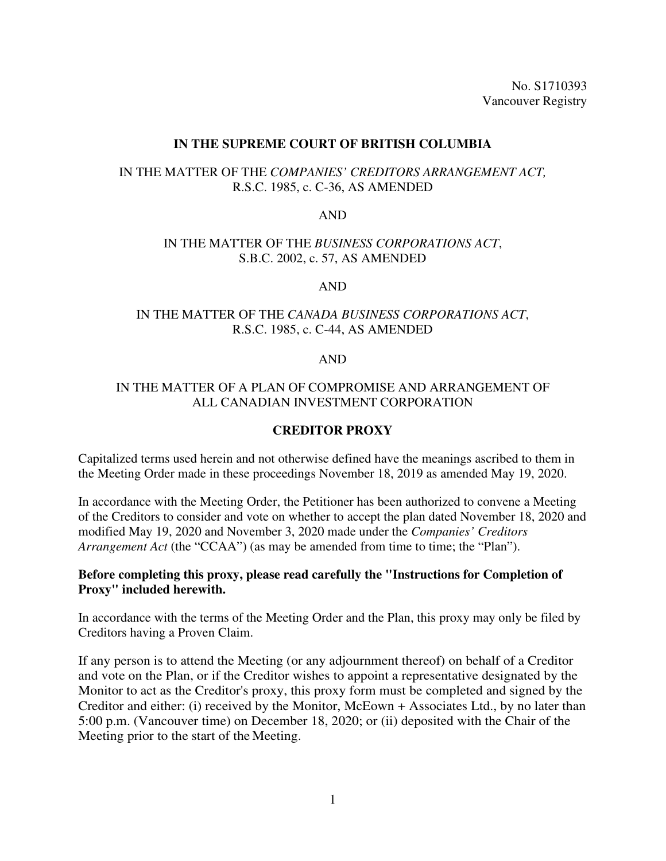No. S1710393 Vancouver Registry

### **IN THE SUPREME COURT OF BRITISH COLUMBIA**

# IN THE MATTER OF THE *COMPANIES' CREDITORS ARRANGEMENT ACT,*  R.S.C. 1985, c. C-36, AS AMENDED

#### AND

### IN THE MATTER OF THE *BUSINESS CORPORATIONS ACT*, S.B.C. 2002, c. 57, AS AMENDED

#### AND

# IN THE MATTER OF THE *CANADA BUSINESS CORPORATIONS ACT*, R.S.C. 1985, c. C-44, AS AMENDED

### AND

### IN THE MATTER OF A PLAN OF COMPROMISE AND ARRANGEMENT OF ALL CANADIAN INVESTMENT CORPORATION

# **CREDITOR PROXY**

Capitalized terms used herein and not otherwise defined have the meanings ascribed to them in the Meeting Order made in these proceedings November 18, 2019 as amended May 19, 2020.

In accordance with the Meeting Order, the Petitioner has been authorized to convene a Meeting of the Creditors to consider and vote on whether to accept the plan dated November 18, 2020 and modified May 19, 2020 and November 3, 2020 made under the *Companies' Creditors Arrangement Act* (the "CCAA") (as may be amended from time to time; the "Plan").

### **Before completing this proxy, please read carefully the "Instructions for Completion of Proxy" included herewith.**

In accordance with the terms of the Meeting Order and the Plan, this proxy may only be filed by Creditors having a Proven Claim.

If any person is to attend the Meeting (or any adjournment thereof) on behalf of a Creditor and vote on the Plan, or if the Creditor wishes to appoint a representative designated by the Monitor to act as the Creditor's proxy, this proxy form must be completed and signed by the Creditor and either: (i) received by the Monitor, McEown + Associates Ltd., by no later than 5:00 p.m. (Vancouver time) on December 18, 2020; or (ii) deposited with the Chair of the Meeting prior to the start of the Meeting.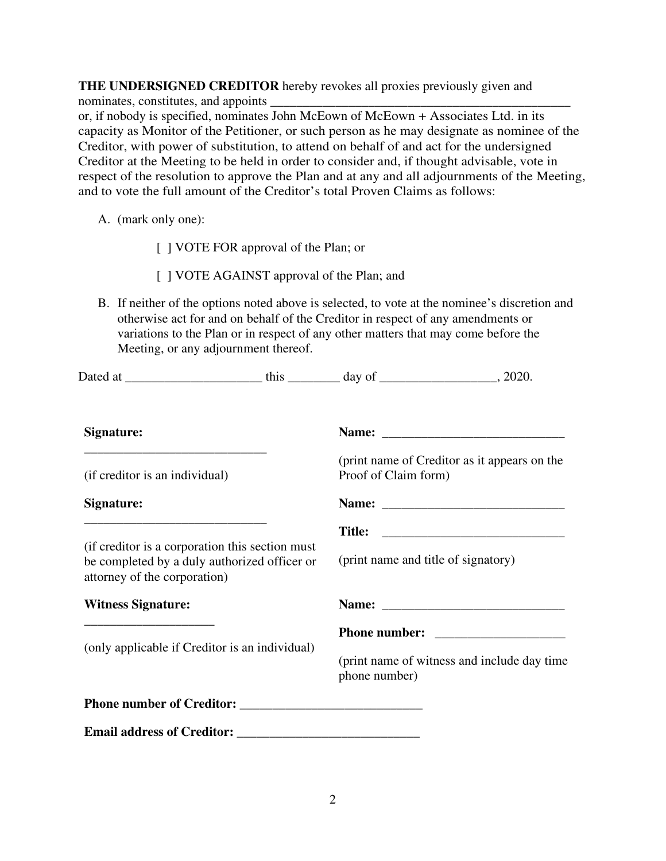**THE UNDERSIGNED CREDITOR** hereby revokes all proxies previously given and nominates, constitutes, and appoints or, if nobody is specified, nominates John McEown of McEown + Associates Ltd. in its capacity as Monitor of the Petitioner, or such person as he may designate as nominee of the Creditor, with power of substitution, to attend on behalf of and act for the undersigned Creditor at the Meeting to be held in order to consider and, if thought advisable, vote in respect of the resolution to approve the Plan and at any and all adjournments of the Meeting, and to vote the full amount of the Creditor's total Proven Claims as follows:

A. (mark only one):

[ ] VOTE FOR approval of the Plan; or

[ ] VOTE AGAINST approval of the Plan; and

B. If neither of the options noted above is selected, to vote at the nominee's discretion and otherwise act for and on behalf of the Creditor in respect of any amendments or variations to the Plan or in respect of any other matters that may come before the Meeting, or any adjournment thereof.

| Signature:                                                                                                                       |  |                                                              |                                              |
|----------------------------------------------------------------------------------------------------------------------------------|--|--------------------------------------------------------------|----------------------------------------------|
| (if creditor is an individual)                                                                                                   |  | Proof of Claim form)                                         | (print name of Creditor as it appears on the |
| Signature:                                                                                                                       |  |                                                              |                                              |
| (if creditor is a corporation this section must)<br>be completed by a duly authorized officer or<br>attorney of the corporation) |  | (print name and title of signatory)                          |                                              |
| <b>Witness Signature:</b>                                                                                                        |  |                                                              |                                              |
|                                                                                                                                  |  |                                                              |                                              |
| (only applicable if Creditor is an individual)                                                                                   |  | (print name of witness and include day time<br>phone number) |                                              |
|                                                                                                                                  |  |                                                              |                                              |
|                                                                                                                                  |  |                                                              |                                              |